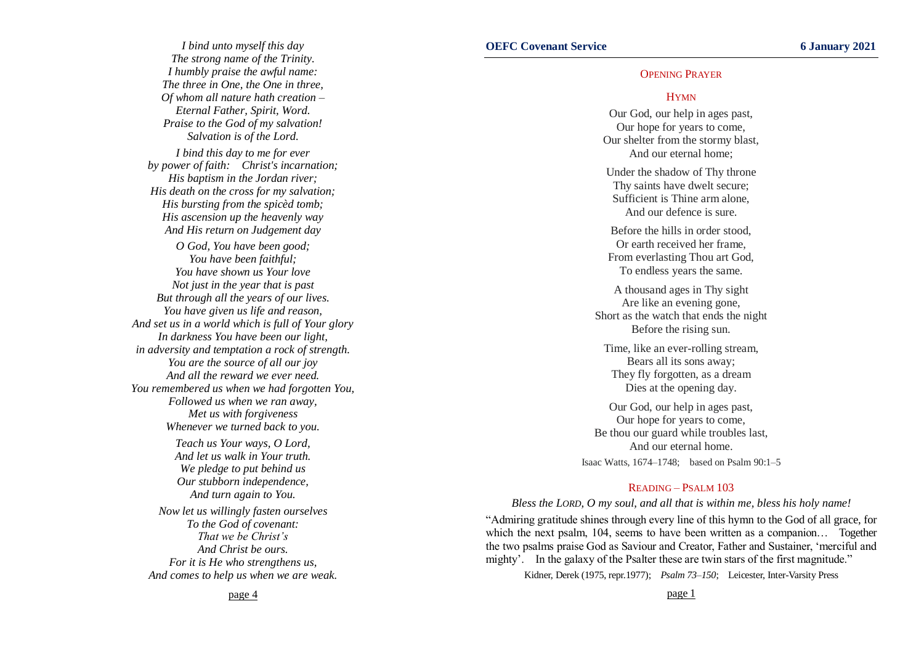### OPENING PRAYER

#### HYMN

Our God, our help in ages past, Our hope for years to come, Our shelter from the stormy blast, And our eternal home;

Under the shadow of Thy throne Thy saints have dwelt secure; Sufficient is Thine arm alone, And our defence is sure.

Before the hills in order stood, Or earth received her frame, From everlasting Thou art God, To endless years the same.

A thousand ages in Thy sight Are like an evening gone, Short as the watch that ends the night Before the rising sun.

Time, like an ever-rolling stream, Bears all its sons away; They fly forgotten, as a dream Dies at the opening day.

Our God, our help in ages past, Our hope for years to come, Be thou our guard while troubles last, And our eternal home. Isaac Watts, 1674–1748; based on Psalm 90:1–5

### READING – PSALM 103

#### *Bless the LORD, O my soul, and all that is within me, bless his holy name!*

"Admiring gratitude shines through every line of this hymn to the God of all grace, for which the next psalm, 104, seems to have been written as a companion... Together the two psalms praise God as Saviour and Creator, Father and Sustainer, 'merciful and mighty'. In the galaxy of the Psalter these are twin stars of the first magnitude."

Kidner, Derek (1975, repr.1977); *Psalm 73–150*; Leicester, Inter-Varsity Press

*I bind unto myself this day The strong name of the Trinity. I humbly praise the awful name: The three in One, the One in three, Of whom all nature hath creation – Eternal Father, Spirit, Word. Praise to the God of my salvation! Salvation is of the Lord. I bind this day to me for ever by power of faith: Christ's incarnation; His baptism in the Jordan river; His death on the cross for my salvation; His bursting from the spicèd tomb; His ascension up the heavenly way And His return on Judgement day O God, You have been good; You have been faithful; You have shown us Your love Not just in the year that is past But through all the years of our lives. You have given us life and reason, And set us in a world which is full of Your glory In darkness You have been our light, in adversity and temptation a rock of strength. You are the source of all our joy And all the reward we ever need. You remembered us when we had forgotten You,*

> *Followed us when we ran away, Met us with forgiveness Whenever we turned back to you.*

*Teach us Your ways, O Lord, And let us walk in Your truth. We pledge to put behind us Our stubborn independence, And turn again to You.*

*Now let us willingly fasten ourselves To the God of covenant: That we be Christ's And Christ be ours. For it is He who strengthens us, And comes to help us when we are weak.*